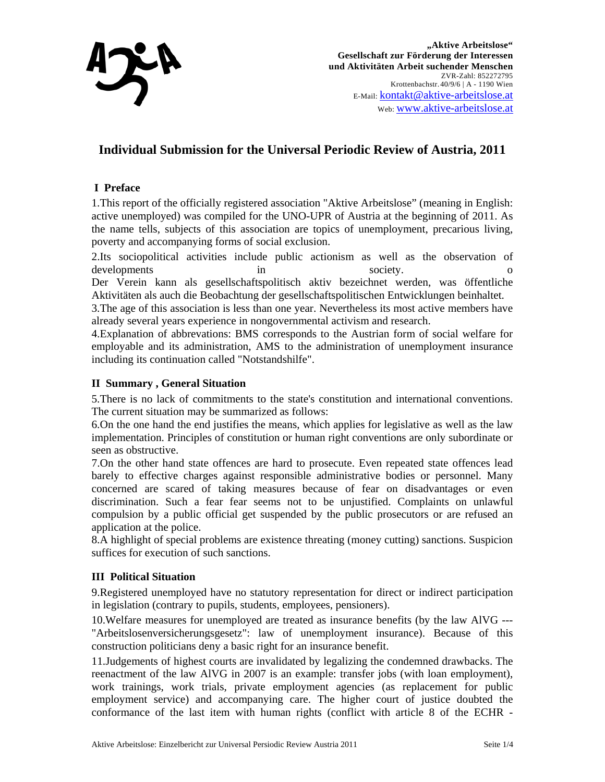

# **Individual Submission for the Universal Periodic Review of Austria, 2011**

# **I Preface**

1.This report of the officially registered association "Aktive Arbeitslose" (meaning in English: active unemployed) was compiled for the UNO-UPR of Austria at the beginning of 2011. As the name tells, subjects of this association are topics of unemployment, precarious living, poverty and accompanying forms of social exclusion.

2.Its sociopolitical activities include public actionism as well as the observation of developments in society. Der Verein kann als gesellschaftspolitisch aktiv bezeichnet werden, was öffentliche

Aktivitäten als auch die Beobachtung der gesellschaftspolitischen Entwicklungen beinhaltet.

3.The age of this association is less than one year. Nevertheless its most active members have already several years experience in nongovernmental activism and research.

4.Explanation of abbrevations: BMS corresponds to the Austrian form of social welfare for employable and its administration, AMS to the administration of unemployment insurance including its continuation called "Notstandshilfe".

## **II Summary , General Situation**

5.There is no lack of commitments to the state's constitution and international conventions. The current situation may be summarized as follows:

6.On the one hand the end justifies the means, which applies for legislative as well as the law implementation. Principles of constitution or human right conventions are only subordinate or seen as obstructive.

7.On the other hand state offences are hard to prosecute. Even repeated state offences lead barely to effective charges against responsible administrative bodies or personnel. Many concerned are scared of taking measures because of fear on disadvantages or even discrimination. Such a fear fear seems not to be unjustified. Complaints on unlawful compulsion by a public official get suspended by the public prosecutors or are refused an application at the police.

8.A highlight of special problems are existence threating (money cutting) sanctions. Suspicion suffices for execution of such sanctions.

## **III Political Situation**

9.Registered unemployed have no statutory representation for direct or indirect participation in legislation (contrary to pupils, students, employees, pensioners).

10.Welfare measures for unemployed are treated as insurance benefits (by the law AlVG --- "Arbeitslosenversicherungsgesetz": law of unemployment insurance). Because of this construction politicians deny a basic right for an insurance benefit.

11.Judgements of highest courts are invalidated by legalizing the condemned drawbacks. The reenactment of the law AlVG in 2007 is an example: transfer jobs (with loan employment), work trainings, work trials, private employment agencies (as replacement for public employment service) and accompanying care. The higher court of justice doubted the conformance of the last item with human rights (conflict with article 8 of the ECHR -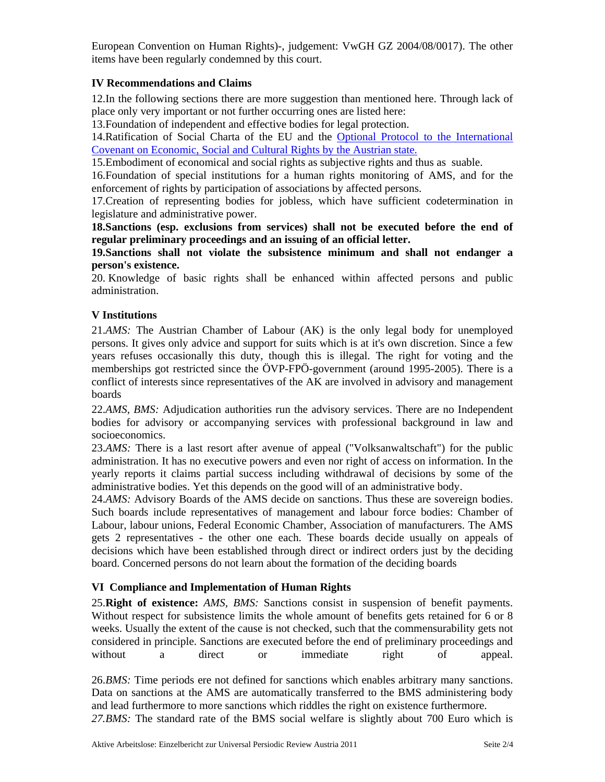European Convention on Human Rights)-, judgement: VwGH GZ 2004/08/0017). The other items have been regularly condemned by this court.

## **IV Recommendations and Claims**

12.In the following sections there are more suggestion than mentioned here. Through lack of place only very important or not further occurring ones are listed here:

13.Foundation of independent and effective bodies for legal protection.

14.Ratification of Social Charta of the EU and the Optional Protocol to the International Covenant on Economic, Social and Cultural Rights by the Austrian state.

15.Embodiment of economical and social rights as subjective rights and thus as suable.

16.Foundation of special institutions for a human rights monitoring of AMS, and for the enforcement of rights by participation of associations by affected persons.

17.Creation of representing bodies for jobless, which have sufficient codetermination in legislature and administrative power.

**18.Sanctions (esp. exclusions from services) shall not be executed before the end of regular preliminary proceedings and an issuing of an official letter.** 

**19.Sanctions shall not violate the subsistence minimum and shall not endanger a person's existence.** 

20. Knowledge of basic rights shall be enhanced within affected persons and public administration.

## **V Institutions**

21.*AMS:* The Austrian Chamber of Labour (AK) is the only legal body for unemployed persons. It gives only advice and support for suits which is at it's own discretion. Since a few years refuses occasionally this duty, though this is illegal. The right for voting and the memberships got restricted since the ÖVP-FPÖ-government (around 1995-2005). There is a conflict of interests since representatives of the AK are involved in advisory and management boards

22.*AMS, BMS:* Adjudication authorities run the advisory services. There are no Independent bodies for advisory or accompanying services with professional background in law and socioeconomics.

23.*AMS:* There is a last resort after avenue of appeal ("Volksanwaltschaft") for the public administration. It has no executive powers and even nor right of access on information. In the yearly reports it claims partial success including withdrawal of decisions by some of the administrative bodies. Yet this depends on the good will of an administrative body.

24.*AMS:* Advisory Boards of the AMS decide on sanctions. Thus these are sovereign bodies. Such boards include representatives of management and labour force bodies: Chamber of Labour, labour unions, Federal Economic Chamber, Association of manufacturers. The AMS gets 2 representatives - the other one each. These boards decide usually on appeals of decisions which have been established through direct or indirect orders just by the deciding board. Concerned persons do not learn about the formation of the deciding boards

#### **VI Compliance and Implementation of Human Rights**

25.**Right of existence:** *AMS, BMS:* Sanctions consist in suspension of benefit payments. Without respect for subsistence limits the whole amount of benefits gets retained for 6 or 8 weeks. Usually the extent of the cause is not checked, such that the commensurability gets not considered in principle. Sanctions are executed before the end of preliminary proceedings and without a direct or immediate right of appeal.

26.*BMS:* Time periods ere not defined for sanctions which enables arbitrary many sanctions. Data on sanctions at the AMS are automatically transferred to the BMS administering body and lead furthermore to more sanctions which riddles the right on existence furthermore. *27.BMS:* The standard rate of the BMS social welfare is slightly about 700 Euro which is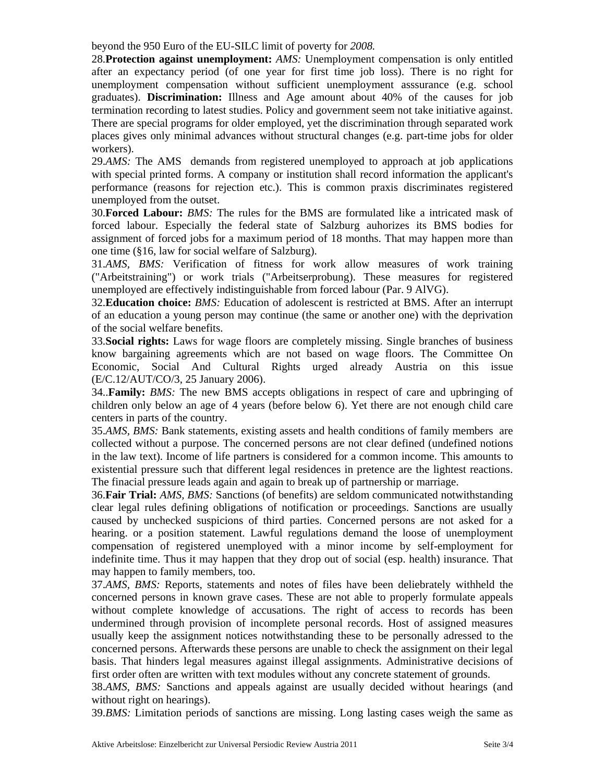beyond the 950 Euro of the EU-SILC limit of poverty for *2008.* 

28.**Protection against unemployment:** *AMS:* Unemployment compensation is only entitled after an expectancy period (of one year for first time job loss). There is no right for unemployment compensation without sufficient unemployment asssurance (e.g. school graduates). **Discrimination:** Illness and Age amount about 40% of the causes for job termination recording to latest studies. Policy and government seem not take initiative against. There are special programs for older employed, yet the discrimination through separated work places gives only minimal advances without structural changes (e.g. part-time jobs for older workers).

29.*AMS:* The AMS demands from registered unemployed to approach at job applications with special printed forms. A company or institution shall record information the applicant's performance (reasons for rejection etc.). This is common praxis discriminates registered unemployed from the outset.

30.**Forced Labour:** *BMS:* The rules for the BMS are formulated like a intricated mask of forced labour. Especially the federal state of Salzburg auhorizes its BMS bodies for assignment of forced jobs for a maximum period of 18 months. That may happen more than one time (§16, law for social welfare of Salzburg).

31.*AMS, BMS:* Verification of fitness for work allow measures of work training ("Arbeitstraining") or work trials ("Arbeitserprobung). These measures for registered unemployed are effectively indistinguishable from forced labour (Par. 9 AlVG).

32.**Education choice:** *BMS:* Education of adolescent is restricted at BMS. After an interrupt of an education a young person may continue (the same or another one) with the deprivation of the social welfare benefits.

33.**Social rights:** Laws for wage floors are completely missing. Single branches of business know bargaining agreements which are not based on wage floors. The Committee On Economic, Social And Cultural Rights urged already Austria on this issue (E/C.12/AUT/CO/3, 25 January 2006).

34..**Family:** *BMS:* The new BMS accepts obligations in respect of care and upbringing of children only below an age of 4 years (before below 6). Yet there are not enough child care centers in parts of the country.

35.*AMS, BMS:* Bank statements, existing assets and health conditions of family members are collected without a purpose. The concerned persons are not clear defined (undefined notions in the law text). Income of life partners is considered for a common income. This amounts to existential pressure such that different legal residences in pretence are the lightest reactions. The finacial pressure leads again and again to break up of partnership or marriage.

36.**Fair Trial:** *AMS, BMS:* Sanctions (of benefits) are seldom communicated notwithstanding clear legal rules defining obligations of notification or proceedings. Sanctions are usually caused by unchecked suspicions of third parties. Concerned persons are not asked for a hearing. or a position statement. Lawful regulations demand the loose of unemployment compensation of registered unemployed with a minor income by self-employment for indefinite time. Thus it may happen that they drop out of social (esp. health) insurance. That may happen to family members, too.

37.*AMS, BMS:* Reports, statements and notes of files have been deliebrately withheld the concerned persons in known grave cases. These are not able to properly formulate appeals without complete knowledge of accusations. The right of access to records has been undermined through provision of incomplete personal records. Host of assigned measures usually keep the assignment notices notwithstanding these to be personally adressed to the concerned persons. Afterwards these persons are unable to check the assignment on their legal basis. That hinders legal measures against illegal assignments. Administrative decisions of first order often are written with text modules without any concrete statement of grounds.

38.*AMS, BMS:* Sanctions and appeals against are usually decided without hearings (and without right on hearings).

39.*BMS:* Limitation periods of sanctions are missing. Long lasting cases weigh the same as